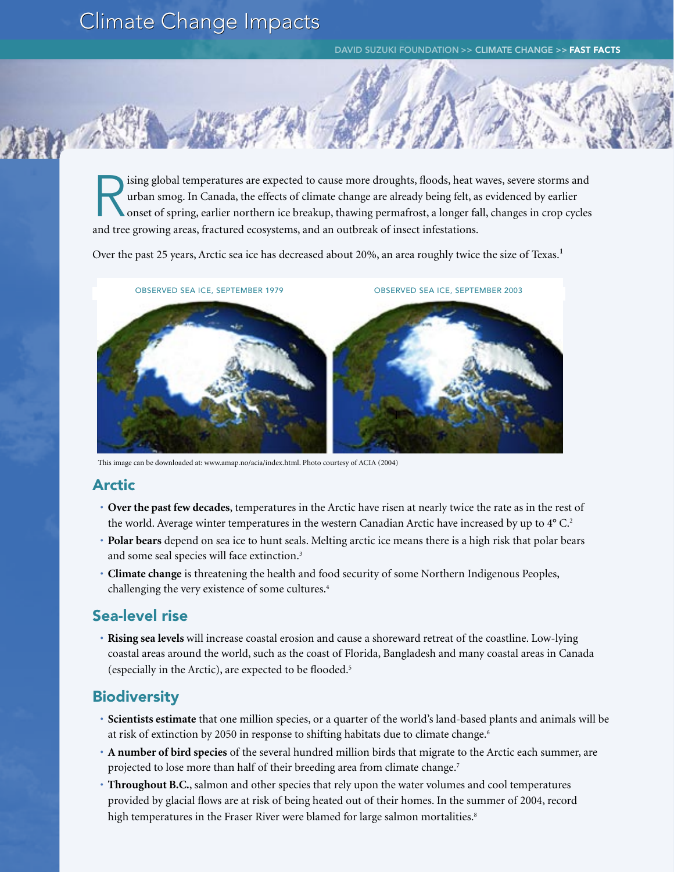# Climate Change Impacts

DAVID SUZUKI FOUNDATION >> CLIMATE CHANGE >> FAST FACTS

ising global temperatures are expected to cause more droughts, floods, heat waves, severe storms and urban smog. In Canada, the effects of climate change are already being felt, as evidenced by earlier onset of spring, earlier northern ice breakup, thawing permafrost, a longer fall, changes in crop cycles and tree growing areas, fractured ecosystems, and an outbreak of insect infestations.

Over the past 25 years, Arctic sea ice has decreased about 20%, an area roughly twice the size of Texas.**<sup>1</sup>**



This image can be downloaded at: www.amap.no/acia/index.html. Photo courtesy of ACIA (2004)

## Arctic

- **Over the past few decades**, temperatures in the Arctic have risen at nearly twice the rate as in the rest of the world. Average winter temperatures in the western Canadian Arctic have increased by up to 4° C.<sup>2</sup>
- **Polar bears** depend on sea ice to hunt seals. Melting arctic ice means there is a high risk that polar bears and some seal species will face extinction.<sup>3</sup>
- **Climate change** is threatening the health and food security of some Northern Indigenous Peoples, challenging the very existence of some cultures.4

## Sea-level rise

• **Rising sea levels** will increase coastal erosion and cause a shoreward retreat of the coastline. Low-lying coastal areas around the world, such as the coast of Florida, Bangladesh and many coastal areas in Canada (especially in the Arctic), are expected to be flooded.5

# **Biodiversity**

- **Scientists estimate** that one million species, or a quarter of the world's land-based plants and animals will be at risk of extinction by 2050 in response to shifting habitats due to climate change.<sup>6</sup>
- **A number of bird species** of the several hundred million birds that migrate to the Arctic each summer, are projected to lose more than half of their breeding area from climate change.<sup>7</sup>
- **Throughout B.C.**, salmon and other species that rely upon the water volumes and cool temperatures provided by glacial flows are at risk of being heated out of their homes. In the summer of 2004, record high temperatures in the Fraser River were blamed for large salmon mortalities.<sup>8</sup>